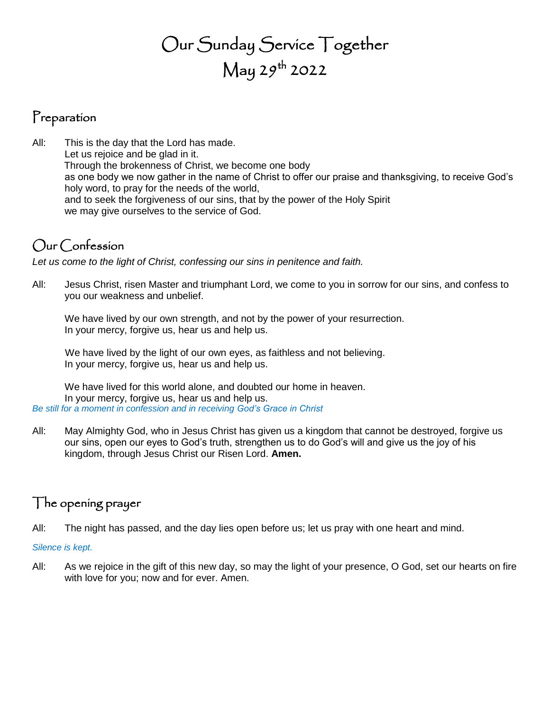# Our Sunday Service Together  $\mathrm{May}$   $29^\mathrm{th}$  2022

### Preparation

All: This is the day that the Lord has made. Let us rejoice and be glad in it. Through the brokenness of Christ, we become one body as one body we now gather in the name of Christ to offer our praise and thanksgiving, to receive God's holy word, to pray for the needs of the world, and to seek the forgiveness of our sins, that by the power of the Holy Spirit we may give ourselves to the service of God.

## Our Confession

*Let us come to the light of Christ, confessing our sins in penitence and faith.*

All: Jesus Christ, risen Master and triumphant Lord, we come to you in sorrow for our sins, and confess to you our weakness and unbelief.

We have lived by our own strength, and not by the power of your resurrection. In your mercy, forgive us, hear us and help us.

We have lived by the light of our own eyes, as faithless and not believing. In your mercy, forgive us, hear us and help us.

We have lived for this world alone, and doubted our home in heaven. In your mercy, forgive us, hear us and help us. *Be still for a moment in confession and in receiving God's Grace in Christ*

All: May Almighty God, who in Jesus Christ has given us a kingdom that cannot be destroyed, forgive us our sins, open our eyes to God's truth, strengthen us to do God's will and give us the joy of his kingdom, through Jesus Christ our Risen Lord. **Amen.**

### The opening prayer

All: The night has passed, and the day lies open before us; let us pray with one heart and mind.

#### *Silence is kept.*

All: As we rejoice in the gift of this new day, so may the light of your presence, O God, set our hearts on fire with love for you; now and for ever. Amen.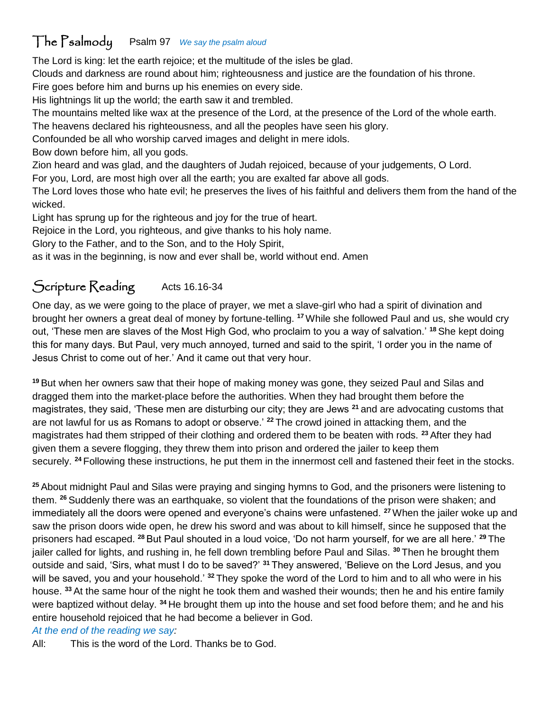### The Psalmody Psalm 97 *We say the psalm aloud*

The Lord is king: let the earth rejoice; et the multitude of the isles be glad.

Clouds and darkness are round about him; righteousness and justice are the foundation of his throne.

Fire goes before him and burns up his enemies on every side.

His lightnings lit up the world; the earth saw it and trembled.

The mountains melted like wax at the presence of the Lord, at the presence of the Lord of the whole earth. The heavens declared his righteousness, and all the peoples have seen his glory.

Confounded be all who worship carved images and delight in mere idols.

Bow down before him, all you gods.

Zion heard and was glad, and the daughters of Judah rejoiced, because of your judgements, O Lord.

For you, Lord, are most high over all the earth; you are exalted far above all gods.

The Lord loves those who hate evil; he preserves the lives of his faithful and delivers them from the hand of the wicked.

Light has sprung up for the righteous and joy for the true of heart.

Rejoice in the Lord, you righteous, and give thanks to his holy name.

Glory to the Father, and to the Son, and to the Holy Spirit,

as it was in the beginning, is now and ever shall be, world without end. Amen

# Scripture Reading Acts 16.16-34

One day, as we were going to the place of prayer, we met a slave-girl who had a spirit of divination and brought her owners a great deal of money by fortune-telling. **<sup>17</sup>**While she followed Paul and us, she would cry out, 'These men are slaves of the Most High God, who proclaim to you a way of salvation.' **<sup>18</sup>** She kept doing this for many days. But Paul, very much annoyed, turned and said to the spirit, 'I order you in the name of Jesus Christ to come out of her.' And it came out that very hour.

**<sup>19</sup>** But when her owners saw that their hope of making money was gone, they seized Paul and Silas and dragged them into the market-place before the authorities. When they had brought them before the magistrates, they said, 'These men are disturbing our city; they are Jews **<sup>21</sup>** and are advocating customs that are not lawful for us as Romans to adopt or observe.' **<sup>22</sup>** The crowd joined in attacking them, and the magistrates had them stripped of their clothing and ordered them to be beaten with rods. **<sup>23</sup>** After they had given them a severe flogging, they threw them into prison and ordered the jailer to keep them securely. **<sup>24</sup>** Following these instructions, he put them in the innermost cell and fastened their feet in the stocks.

**<sup>25</sup>** About midnight Paul and Silas were praying and singing hymns to God, and the prisoners were listening to them. **<sup>26</sup>** Suddenly there was an earthquake, so violent that the foundations of the prison were shaken; and immediately all the doors were opened and everyone's chains were unfastened. **<sup>27</sup>**When the jailer woke up and saw the prison doors wide open, he drew his sword and was about to kill himself, since he supposed that the prisoners had escaped. **<sup>28</sup>** But Paul shouted in a loud voice, 'Do not harm yourself, for we are all here.' **<sup>29</sup>** The jailer called for lights, and rushing in, he fell down trembling before Paul and Silas. **<sup>30</sup>** Then he brought them outside and said, 'Sirs, what must I do to be saved?' **<sup>31</sup>** They answered, 'Believe on the Lord Jesus, and you will be saved, you and your household.' **<sup>32</sup>** They spoke the word of the Lord to him and to all who were in his house. **<sup>33</sup>** At the same hour of the night he took them and washed their wounds; then he and his entire family were baptized without delay. **<sup>34</sup>** He brought them up into the house and set food before them; and he and his entire household rejoiced that he had become a believer in God.

#### *At the end of the reading we say:*

All: This is the word of the Lord. Thanks be to God.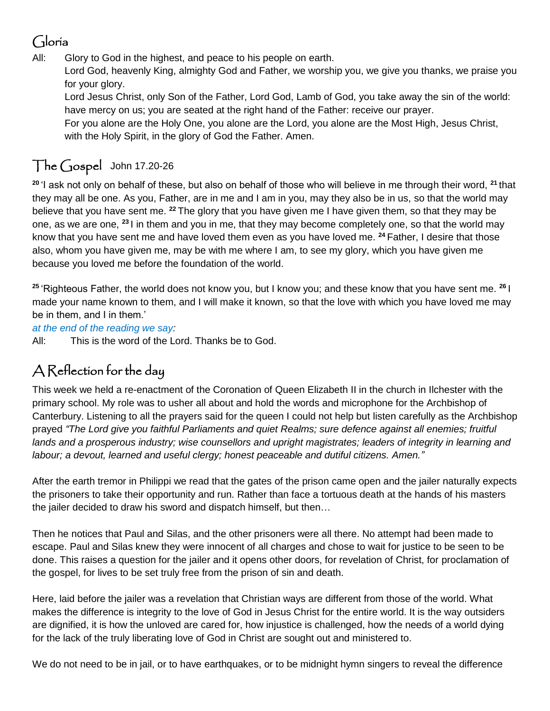### Gloria

All: Glory to God in the highest, and peace to his people on earth.

Lord God, heavenly King, almighty God and Father, we worship you, we give you thanks, we praise you for your glory.

Lord Jesus Christ, only Son of the Father, Lord God, Lamb of God, you take away the sin of the world: have mercy on us; you are seated at the right hand of the Father: receive our prayer.

For you alone are the Holy One, you alone are the Lord, you alone are the Most High, Jesus Christ, with the Holy Spirit, in the glory of God the Father. Amen.

# The Gospel John 17.20-26

**<sup>20</sup>** 'I ask not only on behalf of these, but also on behalf of those who will believe in me through their word, **<sup>21</sup>** that they may all be one. As you, Father, are in me and I am in you, may they also be in us, so that the world may believe that you have sent me. **<sup>22</sup>** The glory that you have given me I have given them, so that they may be one, as we are one, **<sup>23</sup>** I in them and you in me, that they may become completely one, so that the world may know that you have sent me and have loved them even as you have loved me. **<sup>24</sup>** Father, I desire that those also, whom you have given me, may be with me where I am, to see my glory, which you have given me because you loved me before the foundation of the world.

**<sup>25</sup>** 'Righteous Father, the world does not know you, but I know you; and these know that you have sent me. **<sup>26</sup>** I made your name known to them, and I will make it known, so that the love with which you have loved me may be in them, and I in them.'

*at the end of the reading we say:*

All: This is the word of the Lord. Thanks be to God.

## A Reflection for the day

This week we held a re-enactment of the Coronation of Queen Elizabeth II in the church in Ilchester with the primary school. My role was to usher all about and hold the words and microphone for the Archbishop of Canterbury. Listening to all the prayers said for the queen I could not help but listen carefully as the Archbishop prayed *"The Lord give you faithful Parliaments and quiet Realms; sure defence against all enemies; fruitful lands and a prosperous industry; wise counsellors and upright magistrates; leaders of integrity in learning and labour; a devout, learned and useful clergy; honest peaceable and dutiful citizens. Amen."*

After the earth tremor in Philippi we read that the gates of the prison came open and the jailer naturally expects the prisoners to take their opportunity and run. Rather than face a tortuous death at the hands of his masters the jailer decided to draw his sword and dispatch himself, but then…

Then he notices that Paul and Silas, and the other prisoners were all there. No attempt had been made to escape. Paul and Silas knew they were innocent of all charges and chose to wait for justice to be seen to be done. This raises a question for the jailer and it opens other doors, for revelation of Christ, for proclamation of the gospel, for lives to be set truly free from the prison of sin and death.

Here, laid before the jailer was a revelation that Christian ways are different from those of the world. What makes the difference is integrity to the love of God in Jesus Christ for the entire world. It is the way outsiders are dignified, it is how the unloved are cared for, how injustice is challenged, how the needs of a world dying for the lack of the truly liberating love of God in Christ are sought out and ministered to.

We do not need to be in jail, or to have earthquakes, or to be midnight hymn singers to reveal the difference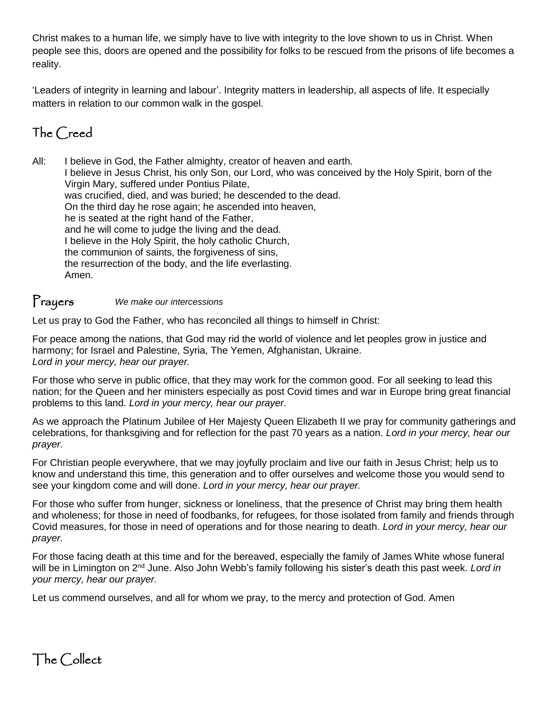Christ makes to a human life, we simply have to live with integrity to the love shown to us in Christ. When people see this, doors are opened and the possibility for folks to be rescued from the prisons of life becomes a reality.

'Leaders of integrity in learning and labour'. Integrity matters in leadership, all aspects of life. It especially matters in relation to our common walk in the gospel.

## The Creed

All: I believe in God, the Father almighty, creator of heaven and earth. I believe in Jesus Christ, his only Son, our Lord, who was conceived by the Holy Spirit, born of the Virgin Mary, suffered under Pontius Pilate, was crucified, died, and was buried; he descended to the dead. On the third day he rose again; he ascended into heaven, he is seated at the right hand of the Father, and he will come to judge the living and the dead. I believe in the Holy Spirit, the holy catholic Church, the communion of saints, the forgiveness of sins, the resurrection of the body, and the life everlasting. Amen.

#### Prayers *We make our intercessions*

Let us pray to God the Father, who has reconciled all things to himself in Christ:

For peace among the nations, that God may rid the world of violence and let peoples grow in justice and harmony; for Israel and Palestine, Syria, The Yemen, Afghanistan, Ukraine. *Lord in your mercy, hear our prayer.*

For those who serve in public office, that they may work for the common good. For all seeking to lead this nation; for the Queen and her ministers especially as post Covid times and war in Europe bring great financial problems to this land. *Lord in your mercy, hear our prayer.*

As we approach the Platinum Jubilee of Her Majesty Queen Elizabeth II we pray for community gatherings and celebrations, for thanksgiving and for reflection for the past 70 years as a nation. *Lord in your mercy, hear our prayer.*

For Christian people everywhere, that we may joyfully proclaim and live our faith in Jesus Christ; help us to know and understand this time, this generation and to offer ourselves and welcome those you would send to see your kingdom come and will done. *Lord in your mercy, hear our prayer.*

For those who suffer from hunger, sickness or loneliness, that the presence of Christ may bring them health and wholeness; for those in need of foodbanks, for refugees, for those isolated from family and friends through Covid measures, for those in need of operations and for those nearing to death. *Lord in your mercy, hear our prayer.*

For those facing death at this time and for the bereaved, especially the family of James White whose funeral will be in Limington on 2nd June. Also John Webb's family following his sister's death this past week. *Lord in your mercy, hear our prayer.*

Let us commend ourselves, and all for whom we pray, to the mercy and protection of God. Amen